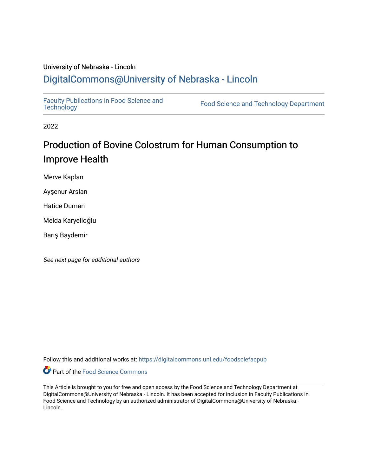## University of Nebraska - Lincoln [DigitalCommons@University of Nebraska - Lincoln](https://digitalcommons.unl.edu/)

[Faculty Publications in Food Science and](https://digitalcommons.unl.edu/foodsciefacpub)

Food Science and [Technology](https://digitalcommons.unl.edu/foodsciefacpub) Department

2022

## Production of Bovine Colostrum for Human Consumption to Improve Health

Merve Kaplan

Ayşenur Arslan

Hatice Duman

Melda Karyelioğlu

Barış Baydemir

See next page for additional authors

Follow this and additional works at: [https://digitalcommons.unl.edu/foodsciefacpub](https://digitalcommons.unl.edu/foodsciefacpub?utm_source=digitalcommons.unl.edu%2Ffoodsciefacpub%2F444&utm_medium=PDF&utm_campaign=PDFCoverPages) 



This Article is brought to you for free and open access by the Food Science and Technology Department at DigitalCommons@University of Nebraska - Lincoln. It has been accepted for inclusion in Faculty Publications in Food Science and Technology by an authorized administrator of DigitalCommons@University of Nebraska -Lincoln.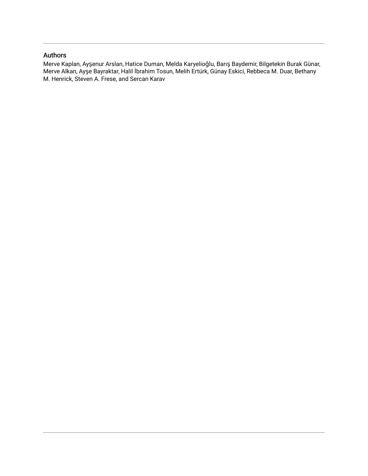### Authors

Merve Kaplan, Ayşenur Arslan, Hatice Duman, Melda Karyelioğlu, Barış Baydemir, Bilgetekin Burak Günar, Merve Alkan, Ayşe Bayraktar, Halil İbrahim Tosun, Melih Ertürk, Günay Eskici, Rebbeca M. Duar, Bethany M. Henrick, Steven A. Frese, and Sercan Karav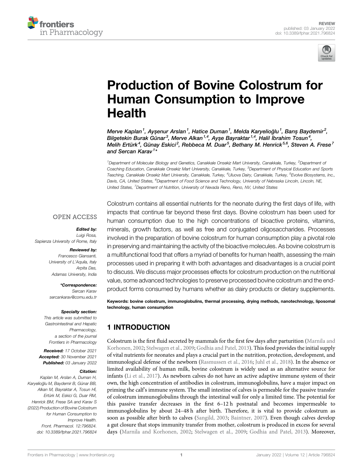



## [Production of Bovine Colostrum for](https://www.frontiersin.org/articles/10.3389/fphar.2021.796824/full) [Human Consumption to Improve](https://www.frontiersin.org/articles/10.3389/fphar.2021.796824/full) [Health](https://www.frontiersin.org/articles/10.3389/fphar.2021.796824/full)

Merve Kaplan<sup>1</sup>, Ayşenur Arslan<sup>1</sup>, Hatice Duman<sup>1</sup>, Melda Karyelioğlu<sup>1</sup>, Barış Baydemir<sup>2</sup>, Bilgetekin Burak Günar<sup>3</sup>, Merve Alkan<sup>1,4</sup>, Ayşe Bayraktar<sup>1,4</sup>, Halil İbrahim Tosun<sup>4</sup>, Melih Ertürk<sup>4</sup>, Günay Eskici<sup>2</sup>, Rebbeca M. Duar<sup>5</sup>, Bethany M. Henrick<sup>5,6</sup>, Steven A. Frese<sup>7</sup> and Sercan Karav<sup>1</sup>\*

<sup>1</sup>Department of Molecular Biology and Genetics, Canakkale Onsekiz Mart University, Canakkale, Turkey, <sup>2</sup>Department oi Coaching Education, Canakkale Onsekiz Mart University, Canakkale, Turkey, <sup>3</sup>Department of Physical Education and Sports Teaching, Canakkale Onsekiz Mart University, Canakkale, Turkey, <sup>4</sup>Uluova Dairy, Canakkale, Turkey, <sup>5</sup>Evolve Biosystems, Inc., Davis, CA, United States, <sup>6</sup>Department of Food Science and Technology, University of Nebraska Lincoln, Lincoln, NE, United States, <sup>7</sup>Department of Nutrition, University of Nevada Reno, Reno, NV, United States

### **OPEN ACCESS**

Edited by:

Luigi Rosa, Sapienza University of Rome, Italy

Reviewed by:

Francesco Giansanti, University of L'Aquila, Italy Arpita Das, Adamas University, India

\*Correspondence: Sercan Karav [sercankarav@comu.edu.tr](mailto:sercankarav@comu.edu.tr)

### Specialty section:

This article was submitted to Gastrointestinal and Hepatic Pharmacology, a section of the journal Frontiers in Pharmacology

Received: 17 October 2021 Accepted: 30 November 2021 Published: 03 January 2022

### Citation:

Kaplan M, Arslan A, Duman H, Karyelioğlu M, Baydemir B, Günar BB, Alkan M, Bayraktar A, Tosun Hİ, Ertürk M, Eskici G, Duar RM, Henrick BM, Frese SA and Karav S (2022) Production of Bovine Colostrum for Human Consumption to Improve Health. Front. Pharmacol. 12:796824. doi: [10.3389/fphar.2021.796824](https://doi.org/10.3389/fphar.2021.796824)

Colostrum contains all essential nutrients for the neonate during the first days of life, with impacts that continue far beyond these first days. Bovine colostrum has been used for human consumption due to the high concentrations of bioactive proteins, vitamins, minerals, growth factors, as well as free and conjugated oligosaccharides. Processes involved in the preparation of bovine colostrum for human consumption play a pivotal role in preserving and maintaining the activity of the bioactive molecules. As bovine colostrum is a multifunctional food that offers a myriad of benefits for human health, assessing the main processes used in preparing it with both advantages and disadvantages is a crucial point to discuss. We discuss major processes effects for colostrum production on the nutritional value, some advanced technologies to preserve processed bovine colostrum and the endproduct forms consumed by humans whether as dairy products or dietary supplements.

Keywords: bovine colostrum, immunoglobulins, thermal processing, drying methods, nanotechnology, liposomal technology, human consumption

## 1 INTRODUCTION

Colostrum is the first fluid secreted by mammals for the first few days after parturition ([Marnila and](#page-12-0) [Korhonen, 2002](#page-12-0); [Stelwagen et al., 2009;](#page-13-0) [Godhia and Patel, 2013\)](#page-11-0). This food provides the initial supply of vital nutrients for neonates and plays a crucial part in the nutrition, protection, development, and immunological defense of the newborn [\(Rasmussen et al., 2016](#page-13-1); [Juhl et al., 2018](#page-12-1)). In the absence or limited availability of human milk, bovine colostrum is widely used as an alternative source for infants ([Li et al., 2017\)](#page-12-2). As newborn calves do not have an active adaptive immune system of their own, the high concentration of antibodies in colostrum, immunoglobulins, have a major impact on priming the calf's immune system. The small intestine of calves is permeable for the passive transfer of colostrum immunoglobulins through the intestinal wall for only a limited time. The potential for this passive transfer decreases in the first 6–12 h postnatal and becomes impermeable to immunoglobulins by about 24–48 h after birth. Therefore, it is vital to provide colostrum as soon as possible after birth to calves [\(Sangild, 2003;](#page-13-2) [Baintner, 2007\)](#page-10-0). Even though calves develop a gut closure that stops immunity transfer from mother, colostrum is produced in excess for several days ([Marnila and Korhonen, 2002;](#page-12-0) [Stelwagen et al., 2009;](#page-13-0) [Godhia and Patel, 2013\)](#page-11-0). Moreover,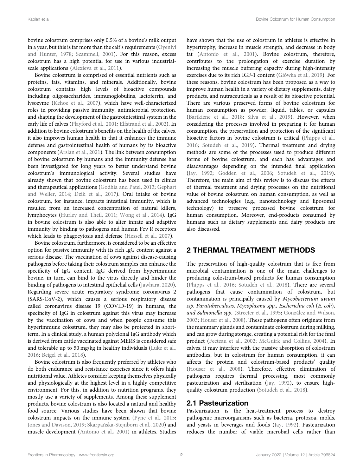bovine colostrum comprises only 0.5% of a bovine's milk output in a year, but this is far more than the calf's requirements [\(Oyeniyi](#page-12-3) [and Hunter, 1978](#page-12-3); [Scammell, 2001](#page-13-3)). For this reason, excess colostrum has a high potential for use in various industrial-scale applications [\(Alexieva et al., 2011](#page-10-1)).

Bovine colostrum is comprised of essential nutrients such as proteins, fats, vitamins, and minerals. Additionally, bovine colostrum contains high levels of bioactive compounds including oligosaccharides, immunoglobulins, lactoferrin, and lysozyme ([Kehoe et al., 2007](#page-12-4)), which have well-characterized roles in providing passive immunity, antimicrobial protection, and shaping the development of the gastrointestinal system in the early life of calves [\(Playford et al., 2001;](#page-12-5) [Elfstrand et al., 2002](#page-11-1)). In addition to bovine colostrum's benefits on the health of the calves, it also improves human health in that it enhances the immune defense and gastrointestinal health of humans by its bioactive components [\(Arslan et al., 2021\)](#page-10-2). The link between consumption of bovine colostrum by humans and the immunity defense has been investigated for long years to better understand bovine colostrum's immunological activity. Several studies have already shown that bovine colostrum has been used in clinics and therapeutical applications ([Godhia and Patel, 2013](#page-11-0); [Gephart](#page-11-2) [and Weller, 2014](#page-11-2); [Dzik et al., 2017\)](#page-11-3). Oral intake of bovine colostrum, for instance, impacts intestinal immunity, which is resulted from an increased concentration of natural killers, lymphocytes ([Hurley and Theil, 2011;](#page-11-4) [Wong et al., 2014](#page-13-4)). IgG in bovine colostrum is also able to alter innate and adaptive immunity by binding to pathogens and human Fcγ R receptors which leads to phagocytosis and defense [\(Hessell et al., 2007](#page-11-5)).

Bovine colostrum, furthermore, is considered to be an effective option for passive immunity with its rich IgG content against a serious disease. The vaccination of cows against disease-causing pathogens before taking their colostrum samples can enhance the specificity of IgG content. IgG derived from hyperimmune bovine, in turn, can bind to the virus directly and hinder the binding of pathogens to intestinal epithelial cells [\(Jawhara, 2020\)](#page-11-6). Regarding severe acute respiratory syndrome coronavirus 2 (SARS-CoV-2), which causes a serious respiratory disease called coronavirus disease 19 (COVID-19) in humans, the specificity of IgG in colostrum against this virus may increase by the vaccination of cows and when people consume this hyperimmune colostrum, they may also be protected in shortterm. In a clinical study, a human polyclonal IgG antibody which is derived from cattle vaccinated against MERS is considered safe and tolerable up to 50 mg/kg in healthy individuals [\(Luke et al.,](#page-12-6) [2016](#page-12-6); [Beigel et al., 2018](#page-11-7)).

Bovine colostrum is also frequently preferred by athletes who do both endurance and resistance exercises since it offers high nutritional value. Athletes consider keeping themselves physically and physiologically at the highest level in a highly competitive environment. For this, in addition to nutrition programs, they mostly use a variety of supplements. Among these supplement products, bovine colostrum is also located a natural and healthy food source. Various studies have been shown that bovine colostrum impacts on the immune system [\(Pyne et al., 2015](#page-12-7); [Jones and Davison, 2019;](#page-12-8) Skarpań[ska-Stejnborn et al., 2020](#page-13-5)) and muscle development [\(Antonio et al., 2001](#page-10-3)) in athletes. Studies have shown that the use of colostrum in athletes is effective in hypertrophy, increase in muscle strength, and decrease in body fat [\(Antonio et al., 2001](#page-10-3)). Bovine colostrum, therefore, contributes to the prolongation of exercise duration by increasing the muscle buffering capacity during high-intensity exercises due to its rich IGF-1 content (Gł[ówka et al., 2019\)](#page-11-8). For these reasons, bovine colostrum has been proposed as a way to improve human health in a variety of dietary supplements, dairy products, and nutraceuticals as a result of its bioactive potential. There are various preserved forms of bovine colostrum for human consumption as powder, liquid, tables, or capsules [\(Bartkiene et al., 2018](#page-11-9); [Silva et al., 2019\)](#page-13-6). However, when considering the processes involved in preparing it for human consumption, the preservation and protection of the significant bioactive factors in bovine colostrum is critical ([Phipps et al.,](#page-12-9) [2016](#page-12-9); [Sotudeh et al., 2019\)](#page-11-10). Thermal treatment and drying methods are some of the processes used to produce different forms of bovine colostrum, and each has advantages and disadvantages depending on the intended final application [\(Jay, 1992;](#page-11-11) [Godden et al., 2006](#page-11-12); [Sotudeh et al., 2019\)](#page-11-10). Therefore, the main aim of this review is to discuss the effects of thermal treatment and drying processes on the nutritional value of bovine colostrum on human consumption, as well as advanced technologies (e.g., nanotechnology and liposomal technology) to preserve processed bovine colostrum for human consumption. Moreover, end-products consumed by humans such as dietary supplements and dairy products are also discussed.

### 2 THERMAL TREATMENT METHODS

The preservation of high-quality colostrum that is free from microbial contamination is one of the main challenges to producing colostrum-based products for human consumption [\(Phipps et al., 2016;](#page-12-9) [Sotudeh et al., 2018\)](#page-13-7). There are several pathogens that cause contamination of colostrum, but contamination is principally caused by Mycobacterium avium ssp. Paratuberculosis, Mycoplasma spp., Escherichia coli (E. coli), and Salmonella spp. ([Streeter et al., 1995;](#page-13-8) [González and Wilson,](#page-11-13) [2003](#page-11-13); [Houser et al., 2008\)](#page-11-14). These pathogens often originate from the mammary glands and contaminate colostrum during milking, and can grow during storage, creating a potential risk for the final product [\(Fecteau et al., 2002](#page-11-15); [McGuirk and Collins, 2004](#page-12-10)). In calves, it may interfere with the passive absorption of colostrum antibodies, but in colostrum for human consumption, it can affects the protein and colostrum-based products' quality [\(Houser et al., 2008\)](#page-11-14). Therefore, effective elimination of pathogens requires thermal processing, most commonly pasteurization and sterilization ([Jay, 1992](#page-11-11)), to ensure highquality colostrum production ([Sotudeh et al., 2018\)](#page-13-7).

### 2.1 Pasteurization

Pasteurization is the heat-treatment process to destroy pathogenic microorganisms such as bacteria, protozoa, molds, and yeasts in beverages and foods [\(Jay, 1992](#page-11-11)). Pasteurization reduces the number of viable microbial cells rather than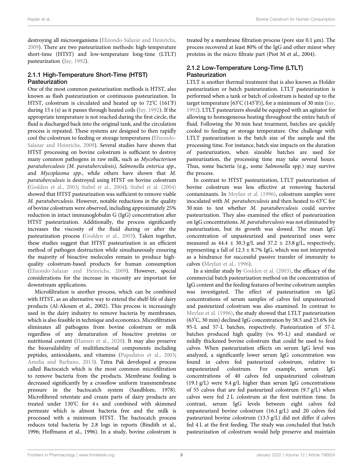destroying all microorganisms ([Elizondo-Salazar and Heinrichs,](#page-11-16) [2009](#page-11-16)). There are two pasteurization methods: high-temperature short-time (HTST) and low-temperature long-time (LTLT) pasteurization [\(Jay, 1992](#page-11-11)).

# 2.1.1 High-Temperature Short-Time (HTST)

One of the most common pasteurization methods is HTST, also known as flash pasteurization or continuous pasteurization. In HTST, colostrum is circulated and heated up to 72° C (161° F) during 15 s (s) as it passes through heated coils [\(Jay, 1992](#page-11-11)). If the appropriate temperature is not reached during the first circle, the fluid is discharged back into the original tank, and the circulation process is repeated. These systems are designed to then rapidly cool the colostrum to feeding or storage temperatures [\(Elizondo-](#page-11-16)[Salazar and Heinrichs, 2009\)](#page-11-16). Several studies have shown that HTST processing on bovine colostrum is sufficient to destroy many common pathogens in raw milk, such as Mycobacterium paratuberculosis (M. paratuberculosis), Salmonella enterica spp., and Mycoplasma spp., while others have shown that M. paratuberculosis is destroyed using HTST on bovine colostrum ([Godden et al., 2003](#page-11-17); [Stabel et al., 2004](#page-13-9)). [Stabel et al. \(2004\)](#page-13-9) showed that HTST pasteurization was sufficient to remove viable M. paratuberculosis. However, notable reductions in the quality of bovine colostrum were observed, including approximately 25% reduction in intact immunoglobulin G (IgG) concentration after HTST pasteurization. Additionally, the process significantly increases the viscosity of the fluid during or after the pasteurization process ([Godden et al., 2003](#page-11-17)). Taken together, these studies suggest that HTST pasteurization is an efficient method of pathogen destruction while simultaneously ensuring the majority of bioactive molecules remain to produce highquality colostrum-based products for human consumption ([Elizondo-Salazar and Heinrichs, 2009\)](#page-11-16). However, special considerations for the increase in viscosity are important for downstream applications.

Microfiltration is another process, which can be combined with HTST, as an alternative way to extend the shelf-life of dairy products (Al-Akoum et al., 2002). This process is increasingly used in the dairy industry to remove bacteria by membranes, which is also feasible in technique and economics. Microfiltration eliminates all pathogens from bovine colostrum or milk regardless of any denaturation of bioactive proteins or nutritional content [\(Hansen et al., 2020\)](#page-11-18). It may also preserve the bioavailability of multifunctional components including peptides, antioxidants, and vitamins ([Papadatos et al., 2003](#page-12-11); [Amelia and Barbano, 2013\)](#page-10-4). Tetra Pak developed a process called Bactocatch which is the most common microfiltration to remove bacteria from the products. Membrane fouling is decreased significantly by a crossflow uniform transmembrane pressure in the bactocatch system (Sandblom, 1978). Microfiltered retentate and cream parts of dairy products are treated under 130° C for 4 s and combined with skimmed permeate which is almost bacteria free and the milk is processed with a minimum HTST. The bactocatch process reduces total bacteria by 2.8 logs in reports (Bindith et al., 1996; Hoffmann et al., 1996). In a study, bovine colostrum is

treated by a membrane filtration process (pore size 0.1 μm). The process recovered at least 80% of the IgG and other minor whey proteins in the micro filtrate part (Piot M et al., 2004).

# 2.1.2 Low-Temperature Long-Time (LTLT)

LTLT is another thermal treatment that is also known as Holder pasteurization or batch pasteurization. LTLT pasteurization is performed when a tank or batch of colostrum is heated up to the target temperature [63°C (145° F)], for a minimum of 30 min [\(Jay,](#page-11-11) [1992](#page-11-11)). LTLT pasteurizers should be equipped with an agitator for allowing to homogeneous heating throughout the entire batch of fluid. Following the 30 min heat treatment, batches are quickly cooled to feeding or storage temperature. One challenge with LTLT pasteurization is the batch size of the sample and the processing time. For instance, batch size impacts on the duration of pasteurization, when sizeable batches are used for pasteurization, the processing time may take several hours. Thus, some bacteria (e.g., some Salmonella spp.) may survive the process.

In contrast to HTST pasteurization, LTLT pasteurization of bovine colostrum was less effective at removing bacterial contaminants. In [Meylan et al. \(1996\)](#page-12-12), colostrum samples were inoculated with M. paratuberculosis and then heated to 63°C for 30 min to test whether M. paratuberculosis could survive pasteurization. They also examined the effect of pasteurization on IgG concentrations. M. paratuberculosis was not eliminated by pasteurization, but its growth was slowed. The mean IgG concentration of unpasteurized and pasteurized ones were measured as  $44.4 \pm 30.3$  g/L and  $37.2 \pm 23.8$  g/L, respectively, representing a fall of  $12.3 \pm 8.7\%$  IgG, which was not interpreted as a hindrance for successful passive transfer of immunity to calves ([Meylan et al., 1996](#page-12-12)).

In a similar study by [Godden et al. \(2003\),](#page-11-17) the efficacy of the commercial batch pasteurization method on the concentration of IgG content and the feeding features of bovine colostrum samples was investigated. The effect of pasteurization on IgG concentrations of serum samples of calves fed unpasteurized and pasteurized colostrum was also examined. In contrast to [Meylan et al. \(1996\),](#page-12-12) the study showed that LTLT pasteurization (63°C, 30 min) declined IgG concentration by 58.5 and 23.6% for 95-L and 57-L batches, respectively. Pasteurization of 57-L batches produced high quality (vs. 95-L) and standard or mildly thickened bovine colostrum that could be used to feed calves. When pasteurization effects on serum IgG level was analyzed, a significantly lower serum IgG concentration was found in calves fed pasteurized colostrum, relative to unpasteurized colostrum. For example, serum IgG concentrations of 40 calves fed unpasteurized colostrum (19.1 g/L) were 9.4 g/L higher than serum IgG concentrations of 55 calves that are fed pasteurized colostrum (9.7 g/L) when calves were fed 2 L colostrum at the first nutrition time. In contrast, serum IgG levels between eight calves fed unpasteurized bovine colostrum (16.1 g/L) and 20 calves fed pasteurized bovine colostrum (13.5 g/L) did not differ if calves fed 4 L at the first feeding. The study was concluded that batch pasteurization of colostrum would help preserve and maintain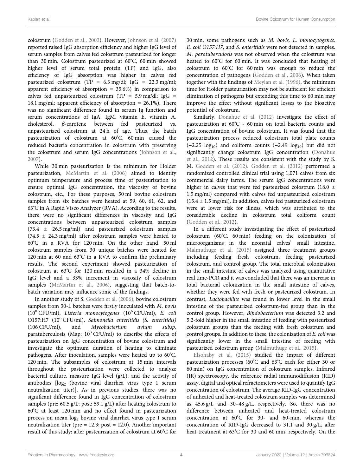colostrum [\(Godden et al., 2003](#page-11-17)). However, [Johnson et al. \(2007\)](#page-11-19) reported raised IgG absorption efficiency and higher IgG level of serum samples from calves fed colostrum pasteurized for longer than 30 min. Colostrum pasteurized at 60°C, 60 min showed higher level of serum total protein (TP) and IgG, also efficiency of IgG absorption was higher in calves fed pasteurized colostrum (TP =  $6.3 \text{ mg/dl}$ ; IgG =  $22.3 \text{ mg/ml}$ ; apparent efficiency of absorption  $= 35.6\%$ ) in comparison to calves fed unpasteurized colostrum (TP =  $5.9 \text{ mg/dl}$ ; IgG = 18.1 mg/ml; apparent efficiency of absorption  $= 26.1\%$ ). There was no significant difference found in serum Ig function and serum concentrations of IgA, IgM, vitamin E, vitamin A, cholesterol, β-carotene between fed pasteurized vs. unpasteurized colostrum at 24 h of age. Thus, the batch pasteurization of colostrum at 60°C, 60 min caused the reduced bacteria concentration in colostrum with preserving the colostrum and serum IgG concentrations ([Johnson et al.,](#page-11-19) [2007](#page-11-19)).

While 30 min pasteurization is the minimum for Holder pasteurization, [McMartin et al. \(2006\)](#page-12-13) aimed to identify optimum temperature and process time of pasteurization to ensure optimal IgG concentration, the viscosity of bovine colostrum, etc., For these purposes, 50 ml bovine colostrum samples from six batches were heated at 59, 60, 61, 62, and 63° C in A Rapid Visco Analyzer (RVA). According to the results, there were no significant differences in viscosity and IgG concentrations between unpasteurized colostrum samples (73.4 ± 26.5 mg/ml) and pasteurized colostrum samples  $(74.5 \pm 24.3 \,\text{mg/ml})$  after colostrum samples were heated to 60° C in a RVA for 120 min. On the other hand, 50 ml colostrum samples from 30 unique batches were heated for 120 min at 60 and 63° C in a RVA to confirm the preliminary results. The second experiment showed pasteurization of colostrum at 63°C for 120 min resulted in a 34% decline in IgG level and a 33% increment in viscosity of colostrum samples ([McMartin et al., 2006\)](#page-12-13), suggesting that batch-tobatch variation may influence some of the findings.

In another study of S. [Godden et al. \(2006\),](#page-11-12) bovine colostrum samples from 30-L batches were firstly inoculated with M. bovis  $(10^8 \text{ CFU/ml})$ , Listeria monocytogenes  $(10^6 \text{ CFU/ml})$ , E. coli O157:H7 (10<sup>6</sup> CFU/ml), Salmonella enteritidis (S. enteritidis) (106 CFU/ml), and Mycobacterium avium subsp. paratuberculosis (Map;  $10^3$  CFU/ml) to describe the effects of pasteurization on IgG concentration of bovine colostrum and investigate the optimum duration of heating to eliminate pathogens. After inoculation, samples were heated up to 60°C, 120 min. The subsamples of colostrum at 15 min intervals throughout the pasteurization were collected to analyze bacterial culture, measure IgG level (g/L), and the activity of antibodies [log<sub>2</sub> (bovine viral diarrhea virus type 1 serum neutralization titer)]. As in previous studies, there was no significant difference found in IgG concentration of colostrum samples (pre: 60.5 g/L; post: 59.1 g/L) after heating colostrum to 60° C at least 120 min and no effect found in pasteurization process on mean log<sub>2</sub> bovine viral diarrhea virus type 1 serum neutralization titer (pre = 12.3; post = 12.0). Another important result of this study; after pasteurization of colostrum at 60°C for

30 min, some pathogens such as M. bovis, L. monocytogenes, E. coli O157:H7, and S. enteritidis were not detected in samples. M. paratuberculosis was not observed when the colostrum was heated to 60°C for 60 min. It was concluded that heating of colostrum to 60° C for 60 min was enough to reduce the concentration of pathogens ([Godden et al., 2006\)](#page-11-12). When taken together with the findings of [Meylan et al. \(1996\),](#page-12-12) the minimum time for Holder pasteurization may not be sufficient for efficient elimination of pathogens but extending this time to 60 min may improve the effect without significant losses to the bioactive potential of colostrum.

Similarly, [Donahue et al. \(2012\)](#page-11-20) investigate the effect of pasteurization at 60°C - 60 min on total bacteria counts and IgG concentration of bovine colostrum. It was found that the pasteurization process reduced colostrum total plate counts  $(-2.25 \text{ log}_{10})$  and coliform counts  $(-2.49 \text{ log}_{10})$  but did not significantly change colostrum IgG concentration [\(Donahue](#page-11-20) [et al., 2012](#page-11-20)). These results are consistent with the study by S. M. [Godden et al. \(2012\).](#page-11-21) [Godden et al. \(2012\)](#page-11-21) performed a randomized controlled clinical trial using 1,071 calves from six commercial dairy farms. The serum IgG concentrations were higher in calves that were fed pasteurized colostrum (18.0 ± 1.5 mg/ml) compared with calves fed unpasteurized colostrum  $(15.4 \pm 1.5 \text{ mg/ml})$ . In addition, calves fed pasteurized colostrum were at lower risk for illness, which was attributed to the considerable decline in colostrum total coliform count [\(Godden et al., 2012\)](#page-11-21).

In a different study investigating the effect of pasteurized colostrum (60° C, 60 min) feeding on the colonization of microorganisms in the neonatal calves' small intestine, [Malmuthuge et al. \(2015\)](#page-12-14) assigned three treatment groups including feeding fresh colostrum, feeding pasteurized colostrum, and control group. The total microbial colonization in the small intestine of calves was analyzed using quantitative real time-PCR and it was concluded that there was an increase in total bacterial colonization in the small intestine of calves, whether they were fed with fresh or pasteurized colostrum. In contrast, Lactobacillus was found in lower level in the small intestine of the pasteurized colostrum-fed group than in the control group. However, Bifidobacterium was detected 3.2 and 5.2-fold higher in the small intestine of feeding with pasteurized colostrum groups than the feeding with fresh colostrum and control groups. In addition to these, the colonization of E. coli was significantly lower in the small intestine of feeding with pasteurized colostrum group [\(Malmuthuge et al., 2015\)](#page-12-14).

[Elsohaby et al. \(2015\)](#page-11-22) studied the impact of different pasteurization processes (60°C and 63°C each for either 30 or 60 min) on IgG concentration of colostrum samples. Infrared (IR) spectroscopy, the reference radial immunodiffusion (RID) assay, digital and optical refractometers were used to quantify IgG concentration of colostrum. The average RID-IgG concentration of unheated and heat-treated colostrum samples was determined as 45.6 g/L and 30–48 g/L, respectively. So, there was no difference between unheated and heat-treated colostrum concentration at 60° C for 30- and 60-min, whereas the concentration of RID-IgG decreased to 31.1 and 30 g/L, after heat treatment at 63° C for 30 and 60 min, respectively. On the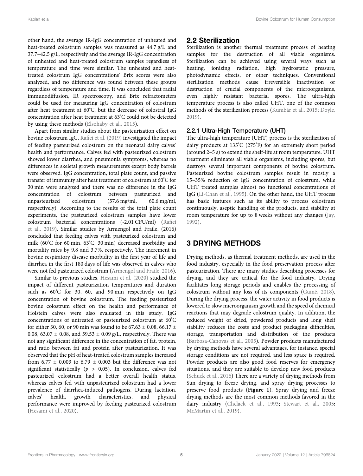other hand, the average IR-IgG concentration of unheated and heat-treated colostrum samples was measured as 44.7 g/L and 37.7–42.5 g/L, respectively and the average IR-IgG concentration of unheated and heat-treated colostrum samples regardless of temperature and time were similar. The unheated and heattreated colostrum IgG concentrations' Brix scores were also analyzed, and no difference was found between these groups regardless of temperature and time. It was concluded that radial immunodiffusion, IR spectroscopy, and Brix refractometers could be used for measuring IgG concentration of colostrum after heat treatment at 60°C, but the decrease of colostral IgG concentration after heat treatment at 63° C could not be detected by using these methods [\(Elsohaby et al., 2015\)](#page-11-22).

Apart from similar studies about the pasteurization effect on bovine colostrum IgG, Rafi[ei et al. \(2019\)](#page-12-15) investigated the impact of feeding pasteurized colostrum on the neonatal dairy calves' health and performance. Calves fed with pasteurized colostrum showed lower diarrhea, and pneumonia symptoms, whereas no differences in skeletal growth measurements except body barrels were observed. IgG concentration, total plate count, and passive transfer of immunity after heat treatment of colostrum at 60° C for 30 min were analyzed and there was no difference in the IgG concentration of colostrum between pasteurized and unpasteurized colostrum (57.6 mg/ml, 60.6 mg/ml, respectively). According to the results of the total plate count experiments, the pasteurized colostrum samples have lower colostrum bacterial concentrations (-2.01 CFU/ml) ([Ra](#page-12-15)fiei [et al., 2019\)](#page-12-15). Similar studies by Armengol and Fraile, (2016) concluded that feeding calves with pasteurized colostrum and milk (60° C for 60 min, 63° C, 30 min) decreased morbidity and mortality rates by 9.8 and 3.7%, respectively. The increment in bovine respiratory disease morbidity in the first year of life and diarrhea in the first 180 days of life was observed in calves who were not fed pasteurized colostrum [\(Armengol and Fraile, 2016\)](#page-10-5).

Similar to previous studies, [Hesami et al. \(2020\)](#page-11-23) studied the impact of different pasteurization temperatures and duration such as 60° C for 30, 60, and 90 min respectively on IgG concentration of bovine colostrum. The feeding pasteurized bovine colostrum effect on the health and performance of Holstein calves were also evaluated in this study. IgG concentrations of untreated or pasteurized colostrum at 60°C for either 30, 60, or 90 min was found to be 67.63  $\pm$  0.08, 66.17  $\pm$ 0.08, 63.07  $\pm$  0.08, and 59.53  $\pm$  0.09 g/L, respectively. There was not any significant difference in the concentration of fat, protein, and ratio between fat and protein after pasteurization. It was observed that the pH of heat-treated colostrum samples increased from 6.77  $\pm$  0.003 to 6.79  $\pm$  0.003 but the difference was not significant statistically ( $p > 0.05$ ). In conclusion, calves fed pasteurized colostrum had a better overall health status, whereas calves fed with unpasteurized colostrum had a lower prevalence of diarrhea-induced pathogens. During lactation, calves' health, growth characteristics, and physical performance were improved by feeding pasteurized colostrum ([Hesami et al., 2020\)](#page-11-23).

### 2.2 Sterilization

Sterilization is another thermal treatment process of heating samples for the destruction of all viable organisms. Sterilization can be achieved using several ways such as heating, ionizing radiation, high hydrostatic pressure, photodynamic effects, or other techniques. Conventional sterilization methods cause irreversible inactivation or destruction of crucial components of the microorganisms, even highly resistant bacterial spores. The ultra-high temperature process is also called UHT, one of the common methods of the sterilization process [\(Kumbár et al., 2015;](#page-12-16) [Doyle,](#page-11-24) [2019](#page-11-24)).

The ultra-high temperature (UHT) process is the sterilization of dairy products at 135° C (275°F) for an extremely short period (around 2–5 s) to extend the shelf-life at room temperature. UHT treatment eliminates all viable organisms, including spores, but destroys several important components of bovine colostrum. Pasteurized bovine colostrum samples result in mostly a 15–35% reduction of IgG concentration of colostrum, while UHT treated samples almost no functional concentrations of IgG [\(Li-Chan et al., 1995](#page-12-17)). On the other hand, the UHT process has basic features such as its ability to process colostrum continuously, aseptic handling of the products, and stability at room temperature for up to 8 weeks without any changes [\(Jay,](#page-11-11) [1992](#page-11-11)).

### 3 DRYING METHODS

Drying methods, as thermal treatment methods, are used in the food industry, especially in the food preservation process after pasteurization. There are many studies describing processes for drying, and they are critical for the food industry. Drying facilitates long storage periods and enables the processing of colostrum without any loss of its components ([Guiné, 2018\)](#page-11-25). During the drying process, the water activity in food products is lowered to slow microorganism growth and the speed of chemical reactions that may degrade colostrum quality. In addition, the reduced weight of dried, powdered products and long shelf stability reduces the costs and product packaging difficulties, storage, transportation and distribution of the products [\(Barbosa-Canovas et al., 2005](#page-10-6)). Powder products manufactured by drying methods have several advantages, for instance, special storage conditions are not required, and less space is required. Powder products are also good food reserves for emergency situations, and they are suitable to develop new food products [\(Schuck et al., 2016\)](#page-13-10) There are a variety of drying methods from Sun drying to freeze drying, and spray drying processes to preserve food products ([Figure 1](#page-7-0)). Spray drying and freeze drying methods are the most common methods favored in the dairy industry ([Chelack et al., 1993](#page-11-26); [Stewart et al., 2005;](#page-13-11) [McMartin et al., 2019\)](#page-12-18).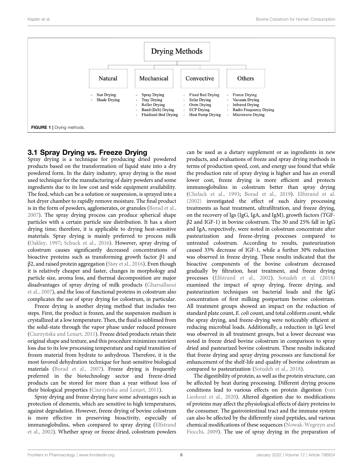

### <span id="page-7-0"></span>3.1 Spray Drying vs. Freeze Drying

Spray drying is a technique for producing dried powdered products based on the transformation of liquid state into a dry powdered form. In the dairy industry, spray drying is the most used technique for the manufacturing of dairy powders and some ingredients due to its low cost and wide equipment availability. The feed, which can be a solution or suspension, is sprayed into a hot dryer chamber to rapidly remove moisture. The final product is in the form of powders, agglomerates, or granules ([Borad et al.,](#page-11-27) [2007](#page-11-27)). The spray drying process can produce spherical shape particles with a certain particle size distribution. It has a short drying time; therefore, it is applicable to drying heat-sensitive materials. Spray drying is mainly preferred to process milk ([Oakley, 1997](#page-12-19); [Schuck et al., 2016](#page-13-10)). However, spray drying of colostrum causes significantly decreased concentrations of bioactive proteins such as transforming growth factor β1 and β2, and raised protein aggregation [\(Støy et al., 2016\)](#page-13-12). Even though it is relatively cheaper and faster, changes in morphology and particle size, aroma loss, and thermal decomposition are major disadvantages of spray drying of milk products [\(Gharsallaoui](#page-11-28) [et al., 2007\)](#page-11-28), and the loss of functional proteins in colostrum also complicates the use of spray drying for colostrum, in particular.

Freeze drying is another drying method that includes two steps. First, the product is frozen, and the suspension medium is crystallized at a low temperature. Then, the fluid is sublimed from the solid-state through the vapor phase under reduced pressure (Ciurzyń[ska and Lenart, 2011\)](#page-11-29). Freeze dried products retain their original shape and texture, and this procedure minimizes nutrient loss due to its low processing temperature and rapid transition of frozen material from hydrate to anhydrous. Therefore, it is the most favored dehydration technique for heat-sensitive biological materials [\(Borad et al., 2007\)](#page-11-27). Freeze drying is frequently preferred in the biotechnology sector and freeze-dried products can be stored for more than a year without loss of their biological properties (Ciurzyń[ska and Lenart, 2011](#page-11-29)).

Spray drying and freeze drying have some advantages such as protection of elements, which are sensitive to high temperatures, against degradation. However, freeze drying of bovine colostrum is more effective in preserving bioactivity, especially of immunoglobulins, when compared to spray drying ([Elfstrand](#page-11-1) [et al., 2002\)](#page-11-1). Whether spray or freeze dried, colostrum powders

can be used as a dietary supplement or as ingredients in new products, and evaluations of freeze and spray drying methods in terms of production speed, cost, and energy use found that while the production rate of spray drying is higher and has an overall lower cost, freeze drying is more efficient and protects immunoglobulins in colostrum better than spray drying [\(Chelack et al., 1993;](#page-11-26) [Borad et al., 2019](#page-11-30)). [Elfstrand et al.](#page-11-1) [\(2002\)](#page-11-1) investigated the effect of such dairy processing treatments as heat treatment, ultrafiltration, and freeze drying, on the recovery of Igs (IgG, IgA, and IgM), growth factors (TGFβ2 and IGF-1) in bovine colostrum. The 30 and 25% fall in IgG and IgA, respectively, were noted in colostrum concentrate after pasteurization and freeze-drying processes compared to untreated colostrum. According to results, pasteurization caused 33% decrease of IGF-1, while a further 30% reduction was observed in freeze drying. These results indicated that the bioactive components of the bovine colostrum decreased gradually by filtration, heat treatment, and freeze drying processes [\(Elfstrand et al., 2002](#page-11-1)). [Sotudeh et al. \(2018\)](#page-13-7) examined the impact of spray drying, freeze drying, and pasteurization techniques on bacterial loads and the IgG concentration of first milking postpartum bovine colostrum. All treatment groups showed an impact on the reduction of standard plate count, E. coli count, and total coliform count, while the spray drying, and freeze-drying were noticeably efficient at reducing microbial loads. Additionally, a reduction in IgG level was observed in all treatment groups, but a lower decrease was noted in freeze dried bovine colostrum in comparison to spray dried and pasteurized bovine colostrum. These results indicated that freeze drying and spray drying processes are functional for enhancement of the shelf-life and quality of bovine colostrum as compared to pasteurization ([Sotudeh et al., 2018](#page-13-7)).

The digestibility of protein, as well as the protein structure, can be affected by heat during processing. Different drying process conditions lead to various effects on protein digestion [\(van](#page-13-13) [Lieshout et al., 2020](#page-13-13)). Altered digestion due to modifications of proteins may affect the physiological effects of dairy proteins to the consumer. The gastrointestinal tract and the immune system can also be affected by the differently sized peptides, and various chemical modifications of these sequences [\(Nowak-Wegrzyn and](#page-12-20) [Fiocchi, 2009\)](#page-12-20). The use of spray drying in the preparation of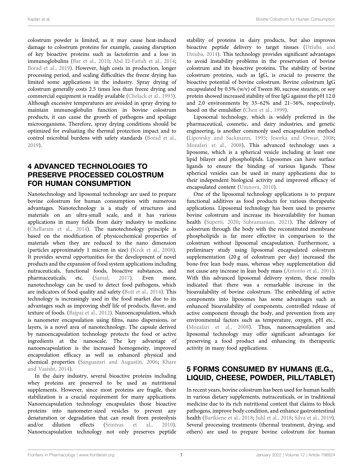colostrum powder is limited, as it may cause heat-induced damage to colostrum proteins for example, causing disruption of key bioactive proteins such as lactoferrin and a loss in immunoglobulins [\(Bar et al., 2010](#page-10-7); [Abd El-Fattah et al., 2014](#page-10-8); [Borad et al., 2019\)](#page-11-30). However, high costs in production, longer processing period, and scaling difficulties the freeze drying has limited some applications in the industry. Spray drying of colostrum generally costs 2.5 times less than freeze drying and commercial equipment is readily available [\(Chelack et al., 1993\)](#page-11-26). Although excessive temperatures are avoided in spray drying to maintain immunoglobulin function in bovine colostrum products, it can cause the growth of pathogens and spoilage microorganisms. Therefore, spray drying conditions should be optimized for evaluating the thermal protection impact and to control microbial burdens with safety standards ([Borad et al.,](#page-11-30) [2019](#page-11-30)).

### 4 ADVANCED TECHNOLOGIES TO PRESERVE PROCESSED COLOSTRUM FOR HUMAN CONSUMPTION

Nanotechnology and liposomal technology are used to prepare bovine colostrum for human consumption with numerous advantages. Nanotechnology is a study of structures and materials on an ultra-small scale, and it has various applications in many fields from dairy industry to medicine ([Chellaram et al., 2014\)](#page-11-31). The nanotechnology principle is based on the modification of physicochemical properties of materials when they are reduced to the nano dimension (particles approximately 1 micron in size) ([Keck et al., 2008\)](#page-12-21). It provides several opportunities for the development of novel products and the expansion of food system applications including nutraceuticals, functional foods, bioactive substances, and pharmaceuticals, etc. (Samal, 2017). Even more, pharmaceuticals, etc. [\(Samal, 2017](#page-13-14)). Even more, nanotechnology can be used to detect food pathogens, which are indicators of food quality and safety ([Bott et al., 2014](#page-11-32)). This technology is increasingly used in the food market due to its advantages such as improving shelf life of products, flavor, and texture of foods. [\(Bajpai et al., 2012](#page-10-9)). Nanoencapsulation, which is nanometer encapsulation using films, nano dispersions, or layers, is a novel area of nanotechnology. The capsule derived by nanoencapsulation technology protects the food or active ingredients at the nanoscale. The key advantage of nanoencapsulation is the increased homogeneity, improved encapsulation efficacy as well as enhanced physical and chemical properties [\(Sanguansri and Augustin, 2006;](#page-13-15) [Khare](#page-12-22) [and Vasisht, 2014](#page-12-22)).

In the dairy industry, several bioactive proteins including whey proteins are preserved to be used as nutritional supplements. However, since most proteins are fragile, their stabilization is a crucial requirement for many applications. Nanoencapsulation technology encapsulates those bioactive proteins into nanometer-sized vesicles to prevent any denaturation or degradation that can result from proteolysis and/or dilution effects ([Srinivas et al., 2010\)](#page-13-16). Nanoencapsulation technology not only preserves peptide

stability of proteins in dairy products, but also improves bioactive peptide delivery to target tissues ([Dziuba and](#page-11-33) [Dziuba, 2014\)](#page-11-33). This technology provides significant advantages to avoid instability problems in the preservation of bovine colostrum and its bioactive proteins. The stability of bovine colostrum proteins, such as IgG, is crucial to preserve the bioactive potential of bovine colostrum. Bovine colostrum IgG encapsulated by 0.5% (w/v) of Tween 80, sucrose stearate, or soy protein showed increased stability of free IgG against the pH 12.0 and 2.0 environments by 33–62% and 21–56%, respectively, based on the emulsifier [\(Chen et al., 1999](#page-11-34)).

Liposomal technology, which is widely preferred in the pharmaceutical, cosmetic, and dairy industries, and genetic engineering, is another commonly used encapsulation method [\(Lipowsky and Sackmann, 1995](#page-12-23); [Jesorka and Orwar, 2008;](#page-11-35) [Mozafari et al., 2008](#page-12-24)). This advanced technology uses a liposome, which is a spherical vesicle including at least one lipid bilayer and phospholipids. Liposomes can have surface ligands to ensure the binding of various ligands. These spherical vesicles can be used in many applications due to their independent biological activity and improved efficacy of encapsulated content ([Umnova, 2010](#page-13-17)).

One of the liposomal technology applications is to prepare functional additives as food products for various therapeutic applications. Liposomal technology has been used to preserve bovine colostrum and increase its bioavailability for human health [\(Superti, 2020](#page-13-18); [Subramanian, 2021](#page-13-19)). The delivery of colostrum through the body with the reconstituted membrane phospholipids is far more effective in comparison to the colostrum without liposomal encapsulation. Furthermore, a preliminary study using liposomal encapsulated colostrum supplementation (20 g of colostrum per day) increased the bone-free lean body mass, whereas whey supplementation did not cause any increase in lean body mass [\(Antonio et al., 2001\)](#page-10-3). With this advanced liposomal delivery system, these results indicated that there was a remarkable increase in the bioavailability of bovine colostrum. The embedding of active components into liposomes has some advantages such as enhanced bioavailability of components, controlled release of active component through the body, and prevention from any environmental factors such as temperature, oxygen, pH etc., [\(Mozafari et al., 2008](#page-12-24)). Thus, nanoencapsulation and liposomal technology may offer significant advantages for preserving a food product and enhancing its therapeutic activity in many food applications.

### 5 FORMS CONSUMED BY HUMANS (E.G., LIQUID, CHEESE, POWDER, PILL/TABLET)

In recent years, bovine colostrum has been used for human health in various dietary supplements, nutraceuticals, or in traditional medicine due to its rich nutritional content that claims to block pathogens, improve body condition, and enhance gastrointestinal health [\(Bartkiene et al., 2018;](#page-11-9) [Juhl et al., 2018;](#page-12-1) [Silva et al., 2019\)](#page-13-6). Several processing treatments (thermal treatment, drying, and others) are used to prepare bovine colostrum for human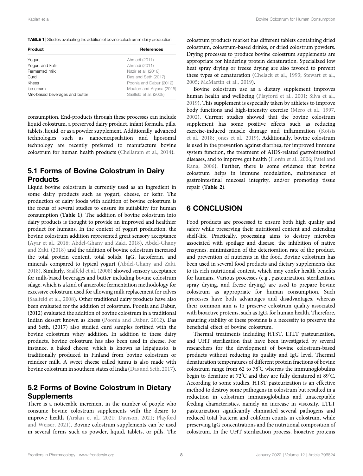<span id="page-9-0"></span>

| Product                         | <b>References</b>        |  |  |
|---------------------------------|--------------------------|--|--|
| Yogurt                          | Ahmadi (2011)            |  |  |
| Yogurt and kefir                | Ahmadi (2011)            |  |  |
| Fermented milk                  | Nazir et al. (2018)      |  |  |
| Curd                            | Das and Seth (2017)      |  |  |
| Khees                           | Poonia and Dabur (2012)  |  |  |
| Ice cream                       | Mouton and Aryana (2015) |  |  |
| Milk-based beverages and butter | Saalfeld et al. (2008)   |  |  |

consumption. End-products through these processes can include liquid colostrum, a preserved dairy product, infant formula, pills, tablets, liquid, or as a powder supplement. Additionally, advanced technologies such as nanoencapsulation and liposomal technology are recently preferred to manufacture bovine colostrum for human health products ([Chellaram et al., 2014](#page-11-31)).

### 5.1 Forms of Bovine Colostrum in Dairy **Products**

Liquid bovine colostrum is currently used as an ingredient in some dairy products such as yogurt, cheese, or kefir. The production of dairy foods with addition of bovine colostrum is the focus of several studies to ensure its suitability for human consumption ([Table 1](#page-9-0)). The addition of bovine colostrum into dairy products is thought to provide an improved and healthier product for humans. In the context of yogurt production, the bovine colostrum addition represented great sensory acceptance ([Ayar et al., 2016](#page-10-10); [Abdel-Ghany and Zaki, 2018](#page-10-11)). [Abdel-Ghany](#page-10-11) [and Zaki, \(2018\)](#page-10-11) and the addition of bovine colostrum increased the total protein content, total solids, IgG, lactoferrin, and minerals compared to typical yogurt ([Abdel-Ghany and Zaki,](#page-10-11) [2018](#page-10-11)). Similarly, [Saalfeld et al. \(2008\)](#page-13-20) showed sensory acceptance for milk-based beverages and butter including bovine colostrum silage, which is a kind of anaerobic fermentation methodology for excessive colostrum used for allowing milk replacement for calves ([Saalfeld et al., 2008](#page-13-20)). Other traditional dairy products have also been evaluated for the addition of colostrum. Poonia and Dabur, (2012) evaluated the addition of bovine colostrum in a traditional Indian dessert known as khess ([Poonia and Dabur, 2012\)](#page-12-25). Das and Seth, (2017) also studied curd samples fortified with the bovine colostrum whey addition. In addition to these dairy products, bovine colostrum has also been used in cheese. For instance, a baked cheese, which is known as leipajuusto, is traditionally produced in Finland from bovine colostrum or reindeer milk. A sweet cheese called junnu is also made with bovine colostrum in southern states of India [\(Das and Seth, 2017\)](#page-11-36).

### 5.2 Forms of Bovine Colostrum in Dietary **Supplements**

There is a noticeable increment in the number of people who consume bovine colostrum supplements with the desire to improve health ([Arslan et al., 2021;](#page-10-2) [Davison, 2021](#page-11-37); [Playford](#page-12-26) [and Weiser, 2021\)](#page-12-26). Bovine colostrum supplements can be used in several forms such as powder, liquid, tablets, or pills. The colostrum products market has different tablets containing dried colostrum, colostrum-based drinks, or dried colostrum powders. Drying processes to produce bovine colostrum supplements are appropriate for hindering protein denaturation. Specialized low heat spray drying or freeze drying are also favored to prevent these types of denaturation [\(Chelack et al., 1993;](#page-11-26) [Stewart et al.,](#page-13-11) [2005](#page-13-11); [McMartin et al., 2019](#page-12-18)).

Bovine colostrum use as a dietary supplement improves human health and wellbeing ([Playford et al., 2001](#page-12-5); [Silva et al.,](#page-13-6) [2019](#page-13-6)). This supplement is especially taken by athletes to improve body functions and high-intensity exercise ([Mero et al., 1997,](#page-12-27) [2002](#page-12-28)). Current studies showed that the bovine colostrum supplement has some positive effects such as reducing exercise-induced muscle damage and inflammation ([Kotsis](#page-12-29) [et al., 2018;](#page-12-29) [Jones et al., 2019](#page-11-38)). Additionally, bovine colostrum is used in the prevention against diarrhea, for improved immune system function, the treatment of AIDS-related gastrointestinal diseases, and to improve gut health ([Florén et al., 2006;](#page-11-39) [Patel and](#page-12-30) [Rana, 2006\)](#page-12-30). Further, there is some evidence that bovine colostrum helps in immune modulation, maintenance of gastrointestinal mucosal integrity, and/or promoting tissue repair ([Table 2](#page-10-12)).

### 6 CONCLUSION

Food products are processed to ensure both high quality and safety while preserving their nutritional content and extending shelf-life. Practically, processing aims to destroy microbes associated with spoilage and disease, the inhibition of native enzymes, minimization of the deterioration rate of the product, and prevention of nutrients in the food. Bovine colostrum has been used in several food products and dietary supplements due to its rich nutritional content, which may confer health benefits for humans. Various processes (e.g., pasteurization, sterilization, spray drying, and freeze drying) are used to prepare bovine colostrum as appropriate for human consumption. Such processes have both advantages and disadvantages, whereas their common aim is to preserve colostrum quality associated with bioactive proteins, such as IgG, for human health. Therefore, ensuring stability of these proteins is a necessity to preserve the beneficial effect of bovine colostrum.

Thermal treatments including HTST, LTLT pasteurization, and UHT sterilization that have been investigated by several researchers for the development of bovine colostrum-based products without reducing its quality and IgG level. Thermal denaturation temperatures of different protein fractions of bovine colostrum range from 62 to 78° C whereas the immunoglobulins begin to denature at 72° C and they are fully denatured at 89° C. According to some studies, HTST pasteurization is an effective method to destroy some pathogens in colostrum but resulted in a reduction in colostrum immunoglobulins and unacceptable feeding characteristics, namely an increase in viscosity. LTLT pasteurization significantly eliminated several pathogens and reduced total bacteria and coliform counts in colostrum, while preserving IgG concentrations and the nutritional composition of colostrum. In the UHT sterilization process, bioactive proteins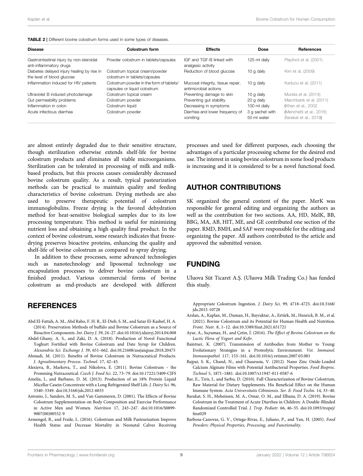<span id="page-10-12"></span>

| Colostrum form                                                           | <b>Effects</b>                                             | <b>Dose</b>                    | <b>References</b>                                 |
|--------------------------------------------------------------------------|------------------------------------------------------------|--------------------------------|---------------------------------------------------|
| Powder colostrum in tablets/capsules                                     | IGF and TGF-B linked with<br>analgesic activity            | 125 ml daily                   | Playford et al. (2001)                            |
| Colostrum topical cream/powder<br>colostrum in tablets/capsules          | Reduction of blood glucose                                 | 10 g daily                     | Kim et al. (2009)                                 |
| Colostrum powder in the form of tablets/<br>capsules or liquid colostrum | Mucosal integrity, tissue repair,<br>antimicrobial actions | 10 g daily                     | Kaducu et al. (2011)                              |
| Colostrum topical cream                                                  | Preventing damage to skin                                  | 10 g daily                     | Murata et al. (2014)                              |
| Colostrum powder                                                         | Preventing gut stability                                   | 20 g daily                     | Marchbank et al. (2011)                           |
| Colostrum liquid                                                         | Decreasing in symptoms                                     | 100 ml daily                   | (Khan et al., 2002)                               |
| Colostrum powder                                                         | Diarrhea and lower frequency of<br>vomiting                | 3 q sachet with<br>50 ml water | (Menchetti et al., 2016;<br>Barakat et al., 2019) |
|                                                                          |                                                            |                                |                                                   |

are almost entirely degraded due to their sensitive structure, though sterilization otherwise extends shelf-life for bovine colostrum products and eliminates all viable microorganisms. Sterilization can be tolerated in processing of milk and milkbased products, but this process causes considerably decreased bovine colostrum quality. As a result, typical pasteurization methods can be practical to maintain quality and feeding characteristics of bovine colostrum. Drying methods are also used to preserve therapeutic potential of colostrum immunoglobulins. Freeze drying is the favored dehydration method for heat-sensitive biological samples due to its low processing temperature. This method is useful for minimizing nutrient loss and obtaining a high quality final product. In the context of bovine colostrum, some research indicates that freezedrying preserves bioactive proteins, enhancing the quality and shelf-life of bovine colostrum as compared to spray drying.

In addition to these processes, some advanced technologies such as nanotechnology and liposomal technology use encapsulation processes to deliver bovine colostrum in a finished product. Various commercial forms of bovine colostrum as end-products are developed with different

### **REFERENCES**

- <span id="page-10-8"></span>Abd El-Fattah, A. M., Abd Rabo, F. H. R., El-Dieb, S. M., and Satar El-Kashef, H. A. (2014). Preservation Methods of buffalo and Bovine Colostrum as a Source of Bioactive Components. Int. Dairy J. 39, 24–27. doi:[10.1016/j.idairyj.2014.04.008](https://doi.org/10.1016/j.idairyj.2014.04.008)
- <span id="page-10-11"></span>Abdel-Ghany, A. S., and Zaki, D. A. (2018). Production of Novel Functional Yoghurt Fortified with Bovine Colostrum and Date Syrup for Children. Alexandria Sci. Exchange J. 39, 651–662. doi[:10.21608/asejaiqjsae.2018.20475](https://doi.org/10.21608/asejaiqjsae.2018.20475) Ahmadi, M. (2011). Benefits of Bovine Colostrum in Nutraceutical Products.
- <span id="page-10-13"></span>J. Agroalimentary Process. Technol. 17, 42–45.
- <span id="page-10-1"></span>Alexieva, B., Markova, T., and Nikolova, E. (2011). Bovine Colostrum – the Promising Nutraceutical. Czech J. Food Sci. 22, 73–79. doi[:10.17221/3409-CJFS](https://doi.org/10.17221/3409-CJFS)
- <span id="page-10-4"></span>Amelia, I., and Barbano, D. M. (2013). Production of an 18% Protein Liquid Micellar Casein Concentrate with a Long Refrigerated Shelf Life. J. Dairy Sci. 96, 3340–3349. doi[:10.3168/jds.2012-6033](https://doi.org/10.3168/jds.2012-6033)
- <span id="page-10-3"></span>Antonio, J., Sanders, M. S., and Van Gammeren, D. (2001). The Effects of Bovine Colostrum Supplementation on Body Composition and Exercise Performance in Active Men and Women. Nutrition 17, 243–247. doi[:10.1016/S0899-](https://doi.org/10.1016/S0899-9007(00)00552-9) [9007\(00\)00552-9](https://doi.org/10.1016/S0899-9007(00)00552-9)
- <span id="page-10-5"></span>Armengol, R., and Fraile, L. (2016). Colostrum and Milk Pasteurization Improve Health Status and Decrease Mortality in Neonatal Calves Receiving

processes and used for different purposes, each choosing the advantages of a particular processing scheme for the desired end use. The interest in using bovine colostrum in some food products is increasing and it is considered to be a novel functional food.

### AUTHOR CONTRIBUTIONS

SK organized the general content of the paper. MerK was responsible for general editing and organizing the authors as well as the contribution for two sections. AA, HD, MelK, BB, BBG, MA, AB, HIT, ME, and GE contributed one section of the paper. RMD, BMH, and SAF were responsible for the editing and organizing the paper. All authors contributed to the article and approved the submitted version.

### FUNDING

Uluova Süt Ticaret A.Ş. (Uluova Milk Trading Co.) has funded this study.

Appropriate Colostrum Ingestion. J. Dairy Sci. 99, 4718–4725. doi[:10.3168/](https://doi.org/10.3168/jds.2015-10728) [jds.2015-10728](https://doi.org/10.3168/jds.2015-10728)

- <span id="page-10-2"></span>Arslan, A., Kaplan, M., Duman, H., Bayraktar, A., Ertürk, M., Henrick, B. M., et al. (2021). Bovine Colostrum and its Potential for Human Health and Nutrition. Front. Nutr. 8, 1–12. doi:[10.3389/fnut.2021.651721](https://doi.org/10.3389/fnut.2021.651721)
- <span id="page-10-10"></span>Ayar, A., Sıçramaz, H., and Çetin, İ. (2016). The Effect of Bovine Colostrum on the Lactic Flora of Yogurt and Kefir.
- <span id="page-10-0"></span>Baintner, K. (2007). Transmission of Antibodies from Mother to Young: Evolutionary Strategies in a Proteolytic Environment. Vet. Immunol. Immunopathol. 117, 153–161. doi[:10.1016/j.vetimm.2007.03.001](https://doi.org/10.1016/j.vetimm.2007.03.001)
- <span id="page-10-9"></span>Bajpai, S. K., Chand, N., and Chaurasia, V. (2012). Nano Zinc Oxide-Loaded Calcium Alginate Films with Potential Antibacterial Properties. Food Bioproc. Technol 5, 1871–1881. doi[:10.1007/s11947-011-0587-6](https://doi.org/10.1007/s11947-011-0587-6)
- <span id="page-10-7"></span>Bar, E., Tiris, I., and Sarbu, D. (2010). Full Characterization of Bovine Colostrum, Raw Material for Dietary Supplements. His Beneficial Effect on the Human Immune System. Acta Universitatis Cibiniensis. Ser. E: Food Techn. 14, 33–40.
- <span id="page-10-14"></span>Barakat, S. H., Meheissen, M. A., Omar, O. M., and Elbana, D. A. (2019). Bovine Colostrum in the Treatment of Acute Diarrhea in Children: A Double-Blinded Randomized Controlled Trial. J. Trop. Pediatr. 66, 46–55. doi[:10.1093/tropej/](https://doi.org/10.1093/tropej/fmz029) [fmz029](https://doi.org/10.1093/tropej/fmz029)
- <span id="page-10-6"></span>Barbosa-Canovas, G. V., Ortega-Rivas, E., Juliano, P., and Yan, H. (2005). Food Powders: Physical Properties, Processing, and Functionality.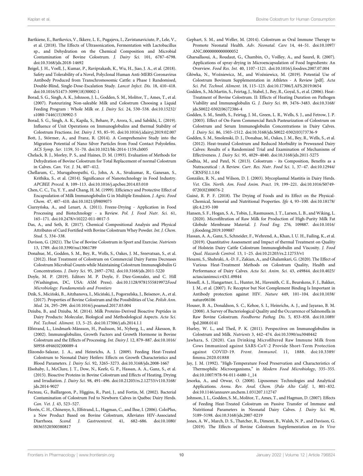- <span id="page-11-9"></span>Bartkiene, E., Bartkevics, V., Ikkere, L. E., Pugajeva, I., Zavistanaviciute, P., Lele, V., et al. (2018). The Effects of Ultrasonication, Fermentation with Lactobacillus sp., and Dehydration on the Chemical Composition and Microbial Contamination of Bovine Colostrum. J. Dairy Sci. 101, 6787–6798. doi:[10.3168/jds.2018-14692](https://doi.org/10.3168/jds.2018-14692)
- <span id="page-11-7"></span>Beigel, J. H., Voell, J., Kumar, P., Raviprakash, K., Wu, H., Jiao, J. A., et al. (2018). Safety and Tolerability of a Novel, Polyclonal Human Anti-MERS Coronavirus Antibody Produced from Transchromosomic Cattle: a Phase 1 Randomised, Double-Blind, Single-Dose-Escalation Study. Lancet Infect. Dis. 18, 410–418. doi:[10.1016/S1473-3099\(18\)30002-1](https://doi.org/10.1016/S1473-3099(18)30002-1)
- <span id="page-11-27"></span>Borad, S. G., Singh, A. K., Johnson, J. L., Godden, S. M., Molitor, T., Ames, T., et al. (2007). Pasteurizing Non-saleable Milk and Colostrum Choosing a Liquid Feeding Program : Whole Milk or. J. Dairy Sci. 24, 530–538. doi:[10.15232/](https://doi.org/10.15232/s1080-7446(15)30902-5) [s1080-7446\(15\)30902-5](https://doi.org/10.15232/s1080-7446(15)30902-5)
- <span id="page-11-30"></span>Borad, S. G., Singh, A. K., Kapila, S., Behare, P., Arora, S., and Sabikhi, L. (2019). Influence of Unit Operations on Immunoglobulins and thermal Stability of Colostrum Fractions. Int. Dairy J. 93, 85–91. doi:[10.1016/j.idairyj.2019.02.007](https://doi.org/10.1016/j.idairyj.2019.02.007)
- <span id="page-11-32"></span>Bott, J., Störmer, A., and Franz, R. (2014). A Comprehensive Study into the Migration Potential of Nano Silver Particles from Food Contact Polyolefins. ACS Symp. Ser. 1159, 51–70. doi[:10.1021/bk-2014-1159.ch005](https://doi.org/10.1021/bk-2014-1159.ch005)
- <span id="page-11-26"></span>Chelack, B. J., Morley, P. S., and Haines, D. M. (1993). Evaluation of Methods for Dehydration of Bovine Colostrum for Total Replacement of normal Colostrum in Calves. Can. Vet. J. 34, 407–412.
- <span id="page-11-31"></span>Chellaram, C., Murugaboopathi, G., John, A. A., Sivakumar, R., Ganesan, S., Krithika, S., et al. (2014). Significance of Nanotechnology in Food Industry. APCBEE Proced. 8, 109–113. doi:[10.1016/j.apcbee.2014.03.010](https://doi.org/10.1016/j.apcbee.2014.03.010)
- <span id="page-11-34"></span>Chen, C. C., Tu, Y. Y., and Chang, H. M. (1999). Efficiency and Protective Effect of Encapsulation of Milk Immunoglobulin G in Multiple Emulsion. J. Agric. Food Chem. 47, 407–410. doi:[10.1021/jf9809075](https://doi.org/10.1021/jf9809075)
- <span id="page-11-29"></span>Ciurzyńska, A., and Lenart, A. (2011). Freeze-Drying - Application in Food Processing and Biotechnology - a Review. Pol. J. Food Nutr. Sci. 61, 165–171. doi:[10.2478/v10222-011-0017-5](https://doi.org/10.2478/v10222-011-0017-5)
- <span id="page-11-36"></span>Das, A., and Seth, R. (2017). Chemical Compositional Analysis and Physical Attributes of Curd Fortified with Bovine Colostrum Whey Powder. Int. J. Chem. Stud. 5, 334–338.
- <span id="page-11-37"></span>Davison, G. (2021). The Use of Bovine Colostrum in Sport and Exercise. Nutrients 13, 1789. doi[:10.3390/nu13061789](https://doi.org/10.3390/nu13061789)
- <span id="page-11-20"></span>Donahue, M., Godden, S. M., Bey, R., Wells, S., Oakes, J. M., Sreevatsan, S., et al. (2012). Heat Treatment of Colostrum on Commercial Dairy Farms Decreases Colostrum Microbial Counts while Maintaining Colostrum Immunoglobulin G Concentrations. J. Dairy Sci. 95, 2697–2702. doi:[10.3168/jds.2011-5220](https://doi.org/10.3168/jds.2011-5220)
- <span id="page-11-24"></span>Doyle, M. P. (2019). Editors M. P. Doyle, F. Diez-Gonzalez, and C. Hill (Washington, DC, USA: ASM Press). doi[:10.1128/9781555819972](https://doi.org/10.1128/9781555819972)Food Microbiology: Fundamentals and Frontiers
- <span id="page-11-3"></span>Dzik, S., Miciński, B., Aitzhanova, I., Miciński, J., Pogorzelska, J., Beisenov, A., et al. (2017). Properties of Bovine Colostrum and the Possibilities of Use. Polish Ann. Med. 24, 295–299. doi:[10.1016/j.poamed.2017.03.004](https://doi.org/10.1016/j.poamed.2017.03.004)
- <span id="page-11-33"></span>Dziuba, B., and Dziuba, M. (2014). Milk Proteins-Derived Bioactive Peptides in Dairy Products: Molecular, Biological and Methodological Aspects. Acta Sci. Pol. Technol. Aliment. 13, 5–25. doi:[10.17306/j.afs.2014.1.1](https://doi.org/10.17306/j.afs.2014.1.1)
- <span id="page-11-1"></span>Elfstrand, L., Lindmark-Månsson, H., Paulsson, M., Nyberg, L., and Åkesson, B. (2002). Immunoglobulins, Growth Factors and Growth Hormone in Bovine Colostrum and the Effects of Processing. Int. Dairy J. 12, 879–887. doi:[10.1016/](https://doi.org/10.1016/S0958-6946(02)00089-4) [S0958-6946\(02\)00089-4](https://doi.org/10.1016/S0958-6946(02)00089-4)
- <span id="page-11-16"></span>Elizondo-Salazar, J. A., and Heinrichs, A. J. (2009). Feeding Heat-Treated Colostrum to Neonatal Dairy Heifers: Effects on Growth Characteristics and Blood Parameters. J. Dairy Sci. 92, 3265–3273. doi:[10.3168/jds.2008-1667](https://doi.org/10.3168/jds.2008-1667)
- <span id="page-11-22"></span>Elsohaby, I., McClure, J. T., Dow, N., Keefe, G. P., Hassan, A. A., Ganz, S., et al. (2015). Bioactive Proteins in Bovine Colostrum and Effects of Heating, Drying and Irradiation. J. Dairy Sci. 98, 491–496. doi:[10.21203/rs.2.12753/v110.3168/](https://doi.org/10.21203/rs.2.12753/v110.3168/jds.2014-9027) [jds.2014-9027](https://doi.org/10.21203/rs.2.12753/v110.3168/jds.2014-9027)
- <span id="page-11-15"></span>Fecteau, G., Baillargeon, P., Higgins, R., Paré, J., and Fortin, M. (2002). Bacterial Contamination of Colostrum Fed to Newborn Calves in Québec Dairy Herds. Can. Vet. J. 43, 523–527.
- <span id="page-11-39"></span>Florén, C. H., Chinenye, S., Elfstrand, L., Hagman, C., and Ihse, I. (2006). ColoPlus, a New Product Based on Bovine Colostrum, Alleviates HIV-Associated Diarrhoea. Scand. J. Gastroenterol. 41, 682–686. doi:[10.1080/](https://doi.org/10.1080/00365520500380817) [00365520500380817](https://doi.org/10.1080/00365520500380817)
- <span id="page-11-2"></span>Gephart, S. M., and Weller, M. (2014). Colostrum as Oral Immune Therapy to Promote Neonatal Health. Adv. Neonatal. Care 14, 44–51. doi[:10.1097/](https://doi.org/10.1097/ANC.0000000000000052) [ANC.0000000000000052](https://doi.org/10.1097/ANC.0000000000000052)
- <span id="page-11-28"></span>Gharsallaoui, A., Roudaut, G., Chambin, O., Voilley, A., and Saurel, R. (2007). Applications of spray-drying in Microencapsulation of Food Ingredients: An Overview. Food Res. Int. 40, 1107–1121. doi:[10.1016/j.foodres.2007.07.004](https://doi.org/10.1016/j.foodres.2007.07.004)
- <span id="page-11-8"></span>Główka, N., Woźniewicz, M., and Woźniewicz, M. (2019). Potential Use of Colostrum Bovinum Supplementation in Athletes - A Review [pdf]. Acta Sci. Pol. Technol. Aliment. 18, 115–123. doi:[10.17306/J.AFS.2019.0654](https://doi.org/10.17306/J.AFS.2019.0654)
- <span id="page-11-12"></span>Godden, S., McMartin, S., Feirtag, J., Stabel, J., Bey, R., Goyal, S., et al. (2006). Heat-Treatment of Bovine Colostrum. II: Effects of Heating Duration on Pathogen Viability and Immunoglobulin G. J. Dairy Sci. 89, 3476–3483. doi[:10.3168/](https://doi.org/10.3168/jds.S0022-0302(06)72386-4) [jds.S0022-0302\(06\)72386-4](https://doi.org/10.3168/jds.S0022-0302(06)72386-4)
- <span id="page-11-17"></span>Godden, S. M., Smith, S., Feirtag, J. M., Green, L. R., Wells, S. J., and Fetrow, J. P. (2003). Effect of On-Farm Commercial Batch Pasteurization of Colostrum on Colostrum and Serum Immunoglobulin Concentrations in Dairy Calves. J. Dairy Sci. 86, 1503–1512. doi:[10.3168/jds.S0022-0302\(03\)73736-9](https://doi.org/10.3168/jds.S0022-0302(03)73736-9)
- <span id="page-11-21"></span>Godden, S. M., Smolenski, D. J., Donahue, M., Oakes, J. M., Bey, R., Wells, S., et al. (2012). Heat-treated Colostrum and Reduced Morbidity in Preweaned Dairy Calves: Results of a Randomized Trial and Examination of Mechanisms of Effectiveness. J. Dairy Sci. 95, 4029–4040. doi:[10.3168/jds.2011-5275](https://doi.org/10.3168/jds.2011-5275)
- <span id="page-11-0"></span>Godhia, M., and Patel, N. (2013). Colostrum - its Composition, Benefits as a Nutraceutical : A Review. Curr. Res. Nutr. Food Sci. 1, 37–47. doi:[10.12944/](https://doi.org/10.12944/CRNFSJ.1.1.04) [CRNFSJ.1.1.04](https://doi.org/10.12944/CRNFSJ.1.1.04)
- <span id="page-11-13"></span>González, R. N., and Wilson, D. J. (2003). Mycoplasmal Mastitis in Dairy Herds. Vet. Clin. North. Am. Food Anim. Pract. 19, 199–221. doi:[10.1016/S0749-](https://doi.org/10.1016/S0749-0720(02)00076-2) [0720\(02\)00076-2](https://doi.org/10.1016/S0749-0720(02)00076-2)
- <span id="page-11-25"></span>Guiné, R. P. F. (2018). The Drying of Foods and its Effect on the Physical-Chemical, Sensorial and Nutritional Properties. Ijfe 4, 93–100. doi:[10.18178/](https://doi.org/10.18178/ijfe.4.2.93-100) [ijfe.4.2.93-100](https://doi.org/10.18178/ijfe.4.2.93-100)
- <span id="page-11-18"></span>Hansen, S. F., Hogan, S. A., Tobin, J., Rasmussen, J. T., Larsen, L. B., and Wiking, L. (2020). Microfiltration of Raw Milk for Production of High-Purity Milk Fat Globule Membrane Material. J. Food Eng. 276, 109887. doi[:10.1016/](https://doi.org/10.1016/j.jfoodeng.2019.109887) [j.jfoodeng.2019.109887](https://doi.org/10.1016/j.jfoodeng.2019.109887)
- <span id="page-11-10"></span>Hassan, A. A., Ganz, S., Schneider, F., Wehrend, A., Khan, I. U. H., Failing, K., et al. (2019). Quantitative Assessment and Impact of thermal Treatment on Quality of Holstein Dairy Cattle Colostrum Immunoglobulin and Viscosity. J. Food Qual. Hazards Control. 13, 1–25. doi[:10.21203/rs.2.12753/v1](https://doi.org/10.21203/rs.2.12753/v1)
- <span id="page-11-23"></span>Hesami, S., Shahraki, A.-D. F., Zakian, A., and Ghalamkari, G. (2020). The Effect of Various Heat-Treatment Methods on Colostrum Quality, Health and Performance of Dairy Calves. Acta Sci. Anim. Sci. 43, e49844. doi[:10.4025/](https://doi.org/10.4025/actascianimsci.v43i1.49844) [actascianimsci.v43i1.49844](https://doi.org/10.4025/actascianimsci.v43i1.49844)
- <span id="page-11-5"></span>Hessell, A. J., Hangartner, L., Hunter, M., Havenith, C. E., Beurskens, F. J., Bakker, J. M., et al. (2007). Fc Receptor but Not Complement Binding Is Important in Antibody protection against HIV. Nature 449, 101–104. doi[:10.1038/](https://doi.org/10.1038/nature06106) [nature06106](https://doi.org/10.1038/nature06106)
- <span id="page-11-14"></span>Houser, B. A., Donaldson, S. C., Kehoe, S. I., Heinrichs, A. J., and Jayarao, B. M. (2008). A Survey of Bacteriological Quality and the Occurrence of Salmonella in Raw Bovine Colostrum. Foodborne Pathog. Dis. 5, 853–858. doi[:10.1089/](https://doi.org/10.1089/fpd.2008.0141) [fpd.2008.0141](https://doi.org/10.1089/fpd.2008.0141)
- <span id="page-11-4"></span>Hurley, W. L., and Theil, P. K. (2011). Perspectives on Immunoglobulins in Colostrum and Milk. Nutrients 3, 442–474. doi[:10.3390/nu3040442](https://doi.org/10.3390/nu3040442)
- <span id="page-11-6"></span>Jawhara, S. (2020). Can Drinking Microfiltered Raw Immune Milk from Cows Immunized against SARS-CoV-2 Provide Short-Term Protection against COVID-19. Front. Immunol. 11, 1888. doi[:10.3389/](https://doi.org/10.3389/fimmu.2020.01888) fi[mmu.2020.01888](https://doi.org/10.3389/fimmu.2020.01888)
- <span id="page-11-11"></span>Jay, J. M. (1992). "High-Temperature Food Preservation and Characteristics of Thermophilic Microorganisms," in Modern Food Microbiology, 335–355. doi[:10.1007/978-94-011-6480-1\\_14](https://doi.org/10.1007/978-94-011-6480-1_14)
- <span id="page-11-35"></span>Jesorka, A., and Orwar, O. (2008). Liposomes: Technologies and Analytical Applications. Annu. Rev. Anal. Chem. (Palo Alto Calif. 1, 801–832. doi[:10.1146/annurev.anchem.1.031207.112747](https://doi.org/10.1146/annurev.anchem.1.031207.112747)
- <span id="page-11-19"></span>Johnson, J. L., Godden, S. M., Molitor, T., Ames, T., and Hagman, D. (2007). Effects of Feeding Heat-Treated Colostrum on Passive Transfer of Immune and Nutritional Parameters in Neonatal Dairy Calves. J. Dairy Sci. 90, 5189–5198. doi:[10.3168/jds.2007-0219](https://doi.org/10.3168/jds.2007-0219)
- <span id="page-11-38"></span>Jones, A. W., March, D. S., Thatcher, R., Diment, B., Walsh, N. P., and Davison, G. (2019). The Effects of Bovine Colostrum Supplementation on In Vivo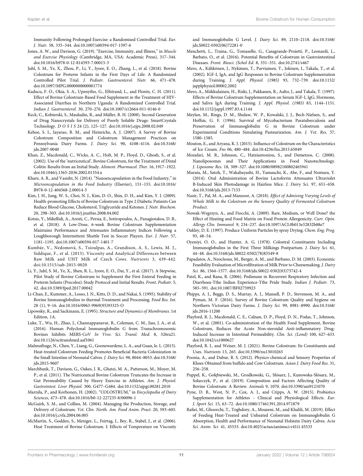Immunity Following Prolonged Exercise: a Randomised Controlled Trial. Eur. J. Nutr. 58, 335–344. doi[:10.1007/s00394-017-1597-6](https://doi.org/10.1007/s00394-017-1597-6)

- <span id="page-12-8"></span>Jones, A. W., and Davison, G. (2019). "Exercise, Immunity, and Illness," in Muscle and Exercise Physiology (Cambridge, MA, USA: Academic Press), 317–344. doi:[10.1016/b978-0-12-814593-7.00015-3](https://doi.org/10.1016/b978-0-12-814593-7.00015-3)
- <span id="page-12-1"></span>Juhl, S. M., Ye, X., Zhou, P., Li, Y., Iyore, E. O., Zhang, L., et al. (2018). Bovine Colostrum for Preterm Infants in the First Days of Life: A Randomized Controlled Pilot Trial. J. Pediatr. Gastroenterol. Nutr. 66, 471–478. doi:[10.1097/MPG.0000000000001774](https://doi.org/10.1097/MPG.0000000000001774)
- <span id="page-12-34"></span>Kaducu, F. O., Okia, S. A., Upenytho, G., Elfstrand, L., and Florén, C. H. (2011). Effect of Bovine Colostrum-Based Food Supplement in the Treatment of HIV-Associated Diarrhea in Northern Uganda: A Randomized Controlled Trial. Indian J. Gastroenterol. 30, 270–276. doi[:10.1007/s12664-011-0146-0](https://doi.org/10.1007/s12664-011-0146-0)
- <span id="page-12-21"></span>Keck, C., Kobierski, S., Mauludin, R., and Müller, R. H. (2008). Second Generation of Drug Nanocrystals for Delivery of Poorly Soluble Drugs: SmartCrystals Technology. DOSIS 24 (2), 125–127. doi:[10.1016/j.ejps.2008.02.049](https://doi.org/10.1016/j.ejps.2008.02.049)
- <span id="page-12-4"></span>Kehoe, S. I., Jayarao, B. M., and Heinrichs, A. J. (2007). A Survey of Bovine Colostrum Composition and Colostrum Management Practices on Pennsylvania Dairy Farms. J. Dairy Sci. 90, 4108–4116. doi:[10.3168/](https://doi.org/10.3168/jds.2007-0040) [jds.2007-0040](https://doi.org/10.3168/jds.2007-0040)
- <span id="page-12-37"></span>Khan, Z., Macdonald, C., Wicks, A. C., Holt, M. P., Floyd, D., Ghosh, S., et al. (2002). Use of the 'nutriceutical', Bovine Colostrum, for the Treatment of Distal Colitis: Results from an Initial Study. Aliment. Pharmacol. Ther. 16, 1917–1922. doi:[10.1046/j.1365-2036.2002.01354.x](https://doi.org/10.1046/j.1365-2036.2002.01354.x)
- <span id="page-12-22"></span>Khare, A. R., and Vasisht, N. (2014). "Nanoencapsulation in the Food Industry," in Microencapsulation in the Food Industry (Elsevier), 151–155. doi:[10.1016/](https://doi.org/10.1016/B978-0-12-404568-2.00014-5) [B978-0-12-404568-2.00014-5](https://doi.org/10.1016/B978-0-12-404568-2.00014-5)
- <span id="page-12-33"></span>Kim, J. H., Jung, W. S., Choi, N. J., Kim, D. O., Shin, D. H., and Kim, Y. J. (2009). Health-promoting Effects of Bovine Colostrum in Type 2 Diabetic Patients Can Reduce Blood Glucose, Cholesterol, Triglyceride and Ketones. J. Nutr. Biochem. 20, 298–303. doi[:10.1016/j.jnutbio.2008.04.002](https://doi.org/10.1016/j.jnutbio.2008.04.002)
- <span id="page-12-29"></span>Kotsis, Y., Mikellidi, A., Aresti, C., Persia, E., Sotiropoulos, A., Panagiotakos, D. B., et al. (2018). A Low-Dose, 6-week Bovine Colostrum Supplementation Maintains Performance and Attenuates Inflammatory Indices Following a Loughborough Intermittent Shuttle Test in Soccer Players. Eur. J. Nutr. 57, 1181–1195. doi[:10.1007/s00394-017-1401-7](https://doi.org/10.1007/s00394-017-1401-7)
- <span id="page-12-16"></span>Kumbár, V., Nedomová, S., Tsioulpas, A., Grandison, A. S., Lewis, M. J., Siddique, F., et al. (2015). Viscosity and Analytical Differences between Raw Milk and UHT Milk of Czech Cows. Nutrients 3, 439–442. doi:[10.1515/sab-2015-0020](https://doi.org/10.1515/sab-2015-0020)
- <span id="page-12-2"></span>Li, Y., Juhl, S. M., Ye, X., Shen, R. L., Iyore, E. O., Dai, Y., et al. (2017). A Stepwise, Pilot Study of Bovine Colostrum to Supplement the First Enteral Feeding in Preterm Infants (Precolos): Study Protocol and Initial Results. Front. Pediatr. 5, 42. doi:[10.3389/fped.2017.00042](https://doi.org/10.3389/fped.2017.00042)
- <span id="page-12-17"></span>Li-Chan, E., Kummer, A., Losso, J. N., Kitts, D. D., and Nakai, S. (1995). Stability of Bovine Immunoglobulins to thermal Treatment and Processing. Food Res. Int. 28 (1), 9–16. doi:[10.1016/0963-9969\(95\)93325-O](https://doi.org/10.1016/0963-9969(95)93325-O)
- <span id="page-12-23"></span>Lipowsky, R., and Sackmann, E. (1995). Structure and Dynamics of Membranes. 1st Edition, 1A.
- <span id="page-12-6"></span>Luke, T., Wu, H., Zhao, J., Channappanavar, R., Coleman, C. M., Jiao, J. A., et al. (2016). Human Polyclonal Immunoglobulin G from Transchromosomic Bovines Inhibits MERS-CoV In Vivo. Sci. Transl. Med. 8, 326ra21. doi:[10.1126/scitranslmed.aaf1061](https://doi.org/10.1126/scitranslmed.aaf1061)
- <span id="page-12-14"></span>Malmuthuge, N., Chen, Y., Liang, G., Goonewardene, L. A., and Guan, le. L. (2015). Heat-treated Colostrum Feeding Promotes Beneficial Bacteria Colonization in the Small Intestine of Neonatal Calves. J. Dairy Sci. 98, 8044–8053. doi:[10.3168/](https://doi.org/10.3168/jds.2015-9607) [jds.2015-9607](https://doi.org/10.3168/jds.2015-9607)
- <span id="page-12-36"></span>Marchbank, T., Davison, G., Oakes, J. R., Ghatei, M. A., Patterson, M., Moyer, M. P., et al. (2011). The Nutriceutical Bovine Colostrum Truncates the Increase in Gut Permeability Caused by Heavy Exercise in Athletes. Am. J. Physiol. Gastrointest. Liver Physiol. 300, G477–G484. doi[:10.1152/ajpgi.00281.2010](https://doi.org/10.1152/ajpgi.00281.2010)
- <span id="page-12-0"></span>Marnila, P., and Korhonen, H. (2002). "COLOSTRUM," in Encyclopedia of Dairy Sciences, 473–478. doi:[10.1016/b0-12-227235-8/00096-1](https://doi.org/10.1016/b0-12-227235-8/00096-1)
- <span id="page-12-10"></span>McGuirk, S. M., and Collins, M. (2004). Managing the Production, Storage, and Delivery of Colostrum. Vet. Clin. North. Am. Food Anim. Pract. 20, 593–603. doi:[10.1016/j.cvfa.2004.06.005](https://doi.org/10.1016/j.cvfa.2004.06.005)
- <span id="page-12-13"></span>McMartin, S., Godden, S., Metzger, L., Feirtag, J., Bey, R., Stabel, J., et al. (2006). Heat Treatment of Bovine Colostrum. I: Effects of Temperature on Viscosity

and Immunoglobulin G Level. J. Dairy Sci. 89, 2110–2118. doi[:10.3168/](https://doi.org/10.3168/jds.S0022-0302(06)72281-0) [jds.S0022-0302\(06\)72281-0](https://doi.org/10.3168/jds.S0022-0302(06)72281-0)

- <span id="page-12-38"></span>Menchetti, L., Traina, G., Tomasello, G., Casagrande-Proietti, P., Leonardi, L., Barbato, O., et al. (2016). Potential Benefits of Colostrum in Gastrointestinal Diseases. Front. Biosci. (Schol Ed. 8, 331–351. doi:[10.2741/s467](https://doi.org/10.2741/s467)
- <span id="page-12-28"></span>Mero, A., Kähkönen, J., Nykänen, T., Parviainen, T., Jokinen, I., Takala, T., et al. (2002). IGF-I, IgA, and IgG Responses to Bovine Colostrum Supplementation during Training. J. Appl. Physiol. (1985) 93, 732–739. doi[:10.1152/](https://doi.org/10.1152/japplphysiol.00002.2002) [japplphysiol.00002.2002](https://doi.org/10.1152/japplphysiol.00002.2002)
- <span id="page-12-27"></span>Mero, A., Miikkulainen, H., Riski, J., Pakkanen, R., Aalto, J., and Takala, T. (1997). Effects of Bovine Colostrum Supplementation on Serum IGF-I, IgG, Hormone, and Saliva IgA during Training. J. Appl. Physiol. (1985) 83, 1144–1151. doi[:10.1152/jappl.1997.83.4.1144](https://doi.org/10.1152/jappl.1997.83.4.1144)
- <span id="page-12-12"></span>Meylan, M., Rings, D. M., Shulaw, W. P., Kowalski, J. J., Bech-Nielsen, S., and Hoffsis, G. F. (1996). Survival of Mycobacterium Paratuberculosis and Preservation of Immunoglobulin G in Bovine Colostrum under Experimental Conditions Simulating Pasteurization. Am. J. Vet. Res. 57, 1580–1585.
- <span id="page-12-32"></span>Mouton, E., and Aryana, K. J. (2015). Influence of Colostrum on the Characteristics of Ice Cream. Fns 06, 480–484. doi:[10.4236/fns.2015.65049](https://doi.org/10.4236/fns.2015.65049)
- <span id="page-12-24"></span>Mozafari, M. R., Johnson, C., Hatziantoniou, S., and Demetzos, C. (2008). Nanoliposomes and Their Applications in Food Nanotechnology. J. Liposome Res. 18, 309–327. doi[:10.1080/08982100802465941](https://doi.org/10.1080/08982100802465941)
- <span id="page-12-35"></span>Murata, M., Satoh, T., Wakabayashi, H., Yamauchi, K., Abe, F., and Nomura, Y. (2014). Oral Administration of Bovine Lactoferrin Attenuates Ultraviolet B-Induced Skin Photodamage in Hairless Mice. J. Dairy Sci. 97, 651–658. doi[:10.3168/jds.2013-7153](https://doi.org/10.3168/jds.2013-7153)
- <span id="page-12-31"></span>Nazir, T., Pal, M. A., and Manzoor, A. (2018). Effect of Admixing Varying Levels of Whole Milk to the Colostrum on the Sensory Quality of Fermented Colostrum Product.
- <span id="page-12-20"></span>Nowak-Wegrzyn, A., and Fiocchi, A. (2009). Rare, Medium, or Well Done? the Effect of Heating and Food Matrix on Food Protein Allergenicity. Curr. Opin. Allergy Clin. Immunol. 9, 234–237. doi:[10.1097/ACI.0b013e32832b88e7](https://doi.org/10.1097/ACI.0b013e32832b88e7)
- <span id="page-12-19"></span>Oakley, D. E. (1997). Produce Uniform Particles by spray Drying. Chem. Eng. Prog. 93, 48–54.
- <span id="page-12-3"></span>Oyeniyi, O. O., and Hunter, A. G. (1978). Colostral Constituents Including Immunoglobulins in the First Three Milkings Postpartum. J. Dairy Sci. 61, 44–48. doi:[10.3168/jds.S0022-0302\(78\)83549-8](https://doi.org/10.3168/jds.S0022-0302(78)83549-8)
- <span id="page-12-11"></span>Papadatos, A., Neocleous, M., Berger, A. M., and Barbano, D. M. (2003). Economic Feasibility Evaluation of Microfiltration of Milk Prior to Cheesemaking. J. Dairy Sci. 86, 1564–1577. doi:[10.3168/jds.S0022-0302\(03\)73742-4](https://doi.org/10.3168/jds.S0022-0302(03)73742-4)
- <span id="page-12-30"></span>Patel, K., and Rana, R. (2006). Pedimune in Recurrent Respiratory Infection and Diarrhoea-Tthe Indian Experience-Tthe Pride Study. Indian J. Pediatr. 73, 585–591. doi:[10.1007/BF02759923](https://doi.org/10.1007/BF02759923)
- <span id="page-12-9"></span>Phipps, A. J., Beggs, D. S., Murray, A. J., Mansell, P. D., Stevenson, M. A., and Pyman, M. F. (2016). Survey of Bovine Colostrum Quality and hygiene on Northern Victorian Dairy Farms. J. Dairy Sci. 99, 8981–8990. doi[:10.3168/](https://doi.org/10.3168/jds.2016-11200) [jds.2016-11200](https://doi.org/10.3168/jds.2016-11200)
- <span id="page-12-5"></span>Playford, R. J., Macdonald, C. E., Calnan, D. P., Floyd, D. N., Podas, T., Johnson, W., et al. (2001). Co-administration of the Health Food Supplement, Bovine Colostrum, Reduces the Acute Non-steroidal Anti-inflammatory Drug-Induced Increase in Intestinal Permeability. Clin. Sci. (Lond) 100, 627–633. doi[:10.1042/cs1000627](https://doi.org/10.1042/cs1000627)
- <span id="page-12-26"></span>Playford, R. J., and Weiser, M. J. (2021). Bovine Colostrum: Its Constituents and Uses. Nutrients 13, 265. doi:[10.3390/nu13010265](https://doi.org/10.3390/nu13010265)
- <span id="page-12-25"></span>Poonia, A., and Dabur, R. S. (2012). Physico-chemical and Sensory Properties of Khees Obtained from buffalo and Cow Colostrum. Asian J. Dairy Food Res. 31, 256–258.
- <span id="page-12-18"></span>Puppel, K., Gołębiewski, M., Grodkowski, G., Slósarz, J., Kunowska-Slósarz, M., Solarczyk, P., et al. (2019). Composition and Factors Affecting Quality of Bovine Colostrum: A Review. Animals 9, 1070. doi:[10.3390/ani9121070](https://doi.org/10.3390/ani9121070)
- <span id="page-12-7"></span>Pyne, D. B., West, N. P., Cox, A. J., and Cripps, A. W. (2015). Probiotics Supplementation for Athletes - Clinical and Physiological Effects. Eur. J. Sport Sci. 15, 63–72. doi:[10.1080/17461391.2014.971879](https://doi.org/10.1080/17461391.2014.971879)
- <span id="page-12-15"></span>Rafiei, M., Ghoorchi, T., Toghdory, A., Moazeni, M., and Khalili, M. (2019). Effect of Feeding Heat-Treated and Unheated Colostrum on Immunoglobulin G Absorption, Health and Performance of Neonatal Holstein Dairy Calves. Acta Sci. Anim. Sci. 41, 45533. doi:[10.4025/actascianimsci.v41i1.45533](https://doi.org/10.4025/actascianimsci.v41i1.45533)